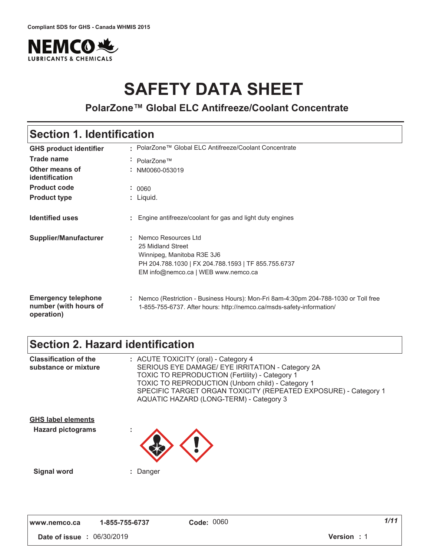

# **SAFETY DATA SHEET**

### **PolarZone™ Global ELC Antifreeze/Coolant Concentrate**

### **Section 1. Identification**

| <b>GHS product identifier</b>                                     | • PolarZone™ Global ELC Antifreeze/Coolant Concentrate                                                                                                                     |
|-------------------------------------------------------------------|----------------------------------------------------------------------------------------------------------------------------------------------------------------------------|
| <b>Trade name</b>                                                 | PolarZone™<br>$\sim$                                                                                                                                                       |
| Other means of<br>identification                                  | NM0060-053019                                                                                                                                                              |
| <b>Product code</b>                                               | : 0060                                                                                                                                                                     |
| <b>Product type</b>                                               | $:$ Liquid.                                                                                                                                                                |
| <b>Identified uses</b>                                            | Engine antifreeze/coolant for gas and light duty engines                                                                                                                   |
| Supplier/Manufacturer                                             | Nemco Resources Ltd<br>л.<br>25 Midland Street<br>Winnipeg, Manitoba R3E 3J6<br>PH 204.788.1030   FX 204.788.1593   TF 855.755.6737<br>EM info@nemco.ca   WEB www.nemco.ca |
| <b>Emergency telephone</b><br>number (with hours of<br>operation) | Nemco (Restriction - Business Hours): Mon-Fri 8am-4:30pm 204-788-1030 or Toll free<br>÷<br>1-855-755-6737. After hours: http://nemco.ca/msds-safety-information/           |

### **Section 2. Hazard identification**

| <b>Classification of the</b><br>substance or mixture  | : ACUTE TOXICITY (oral) - Category 4<br>SERIOUS EYE DAMAGE/ EYE IRRITATION - Category 2A<br><b>TOXIC TO REPRODUCTION (Fertility) - Category 1</b><br><b>TOXIC TO REPRODUCTION (Unborn child) - Category 1</b><br>SPECIFIC TARGET ORGAN TOXICITY (REPEATED EXPOSURE) - Category 1<br>AQUATIC HAZARD (LONG-TERM) - Category 3 |
|-------------------------------------------------------|-----------------------------------------------------------------------------------------------------------------------------------------------------------------------------------------------------------------------------------------------------------------------------------------------------------------------------|
| <b>GHS label elements</b><br><b>Hazard pictograms</b> |                                                                                                                                                                                                                                                                                                                             |
|                                                       |                                                                                                                                                                                                                                                                                                                             |
| <b>Signal word</b>                                    | : Danger                                                                                                                                                                                                                                                                                                                    |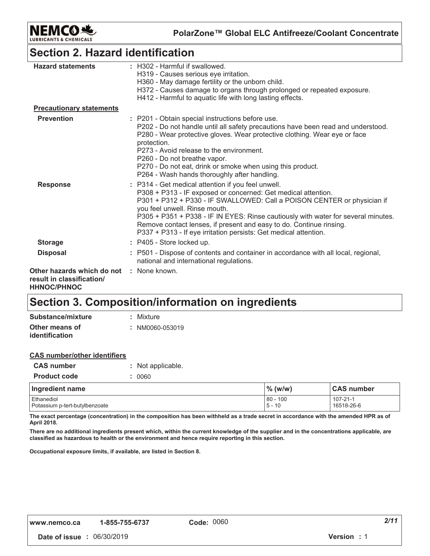

**PolarZone™ Global ELC Antifreeze/Coolant Concentrate**

### **Section 2. Hazard identification**

| <b>Hazard statements</b>                                                      | : H302 - Harmful if swallowed.                                                                                                |
|-------------------------------------------------------------------------------|-------------------------------------------------------------------------------------------------------------------------------|
|                                                                               | H319 - Causes serious eye irritation.                                                                                         |
|                                                                               | H360 - May damage fertility or the unborn child.                                                                              |
|                                                                               | H372 - Causes damage to organs through prolonged or repeated exposure.                                                        |
|                                                                               | H412 - Harmful to aquatic life with long lasting effects.                                                                     |
| <b>Precautionary statements</b>                                               |                                                                                                                               |
| <b>Prevention</b>                                                             | : P201 - Obtain special instructions before use.                                                                              |
|                                                                               | P202 - Do not handle until all safety precautions have been read and understood.                                              |
|                                                                               | P280 - Wear protective gloves. Wear protective clothing. Wear eye or face<br>protection.                                      |
|                                                                               | P273 - Avoid release to the environment.                                                                                      |
|                                                                               | P260 - Do not breathe vapor.                                                                                                  |
|                                                                               | P270 - Do not eat, drink or smoke when using this product.                                                                    |
|                                                                               | P264 - Wash hands thoroughly after handling.                                                                                  |
| <b>Response</b>                                                               | : P314 - Get medical attention if you feel unwell.                                                                            |
|                                                                               | P308 + P313 - IF exposed or concerned: Get medical attention.                                                                 |
|                                                                               | P301 + P312 + P330 - IF SWALLOWED: Call a POISON CENTER or physician if<br>you feel unwell. Rinse mouth.                      |
|                                                                               | P305 + P351 + P338 - IF IN EYES: Rinse cautiously with water for several minutes.                                             |
|                                                                               | Remove contact lenses, if present and easy to do. Continue rinsing.                                                           |
|                                                                               | P337 + P313 - If eye irritation persists: Get medical attention.                                                              |
| <b>Storage</b>                                                                | : P405 - Store locked up.                                                                                                     |
| <b>Disposal</b>                                                               | : P501 - Dispose of contents and container in accordance with all local, regional,<br>national and international regulations. |
| Other hazards which do not<br>result in classification/<br><b>HHNOC/PHNOC</b> | : None known.                                                                                                                 |
|                                                                               |                                                                                                                               |

### **Section 3. Composition/information on ingredients**

| Substance/mixture     | : Mixture       |
|-----------------------|-----------------|
| Other means of        | : NM0060-053019 |
| <i>identification</i> |                 |

| <b>CAS</b> number/other identifiers |                   |
|-------------------------------------|-------------------|
| <b>CAS number</b>                   | : Not applicable. |
| <b>Product code</b>                 | : 0060            |
|                                     |                   |

| Ingredient name                              | $%$ (w/w)                 | <b>CAS number</b>      |
|----------------------------------------------|---------------------------|------------------------|
| Ethanediol<br>Potassium p-tert-butylbenzoate | $80 -$<br>100<br>$5 - 10$ | 107-21-1<br>16518-26-6 |

The exact percentage (concentration) in the composition has been withheld as a trade secret in accordance with the amended HPR as of April 2018.

There are no additional ingredients present which, within the current knowledge of the supplier and in the concentrations applicable, are classified as hazardous to health or the environment and hence require reporting in this section.

Occupational exposure limits, if available, are listed in Section 8.

 **#** 01"/0"\$0'2 **5 #** '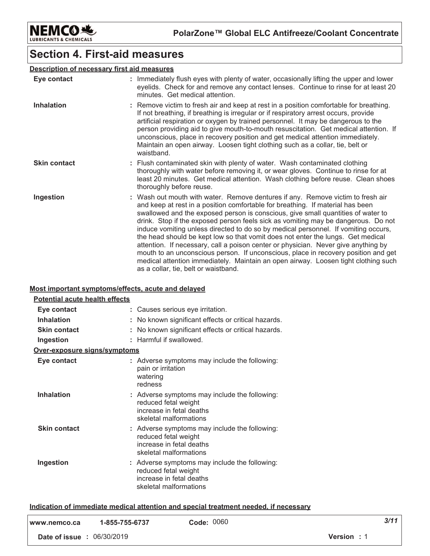

### **Section 4. First-aid measures**

#### Description of necessary first aid measures

| Eye contact         | : Immediately flush eyes with plenty of water, occasionally lifting the upper and lower<br>eyelids. Check for and remove any contact lenses. Continue to rinse for at least 20<br>minutes. Get medical attention.                                                                                                                                                                                                                                                                                                                                                                                                                                                                                                                                                                                                             |
|---------------------|-------------------------------------------------------------------------------------------------------------------------------------------------------------------------------------------------------------------------------------------------------------------------------------------------------------------------------------------------------------------------------------------------------------------------------------------------------------------------------------------------------------------------------------------------------------------------------------------------------------------------------------------------------------------------------------------------------------------------------------------------------------------------------------------------------------------------------|
| <b>Inhalation</b>   | : Remove victim to fresh air and keep at rest in a position comfortable for breathing.<br>If not breathing, if breathing is irregular or if respiratory arrest occurs, provide<br>artificial respiration or oxygen by trained personnel. It may be dangerous to the<br>person providing aid to give mouth-to-mouth resuscitation. Get medical attention. If<br>unconscious, place in recovery position and get medical attention immediately.<br>Maintain an open airway. Loosen tight clothing such as a collar, tie, belt or<br>waistband.                                                                                                                                                                                                                                                                                  |
| <b>Skin contact</b> | : Flush contaminated skin with plenty of water. Wash contaminated clothing<br>thoroughly with water before removing it, or wear gloves. Continue to rinse for at<br>least 20 minutes. Get medical attention. Wash clothing before reuse. Clean shoes<br>thoroughly before reuse.                                                                                                                                                                                                                                                                                                                                                                                                                                                                                                                                              |
| Ingestion           | : Wash out mouth with water. Remove dentures if any. Remove victim to fresh air<br>and keep at rest in a position comfortable for breathing. If material has been<br>swallowed and the exposed person is conscious, give small quantities of water to<br>drink. Stop if the exposed person feels sick as vomiting may be dangerous. Do not<br>induce vomiting unless directed to do so by medical personnel. If vomiting occurs,<br>the head should be kept low so that vomit does not enter the lungs. Get medical<br>attention. If necessary, call a poison center or physician. Never give anything by<br>mouth to an unconscious person. If unconscious, place in recovery position and get<br>medical attention immediately. Maintain an open airway. Loosen tight clothing such<br>as a collar, tie, belt or waistband. |

#### Most important symptoms/effects, acute and delayed

| Potential acute health effects |                                                                                                                             |
|--------------------------------|-----------------------------------------------------------------------------------------------------------------------------|
| Eye contact                    | : Causes serious eye irritation.                                                                                            |
| <b>Inhalation</b>              | No known significant effects or critical hazards.                                                                           |
| <b>Skin contact</b>            | No known significant effects or critical hazards.                                                                           |
| Ingestion                      | : Harmful if swallowed.                                                                                                     |
| Over-exposure signs/symptoms   |                                                                                                                             |
| Eye contact                    | : Adverse symptoms may include the following:<br>pain or irritation<br>watering<br>redness                                  |
| <b>Inhalation</b>              | : Adverse symptoms may include the following:<br>reduced fetal weight<br>increase in fetal deaths<br>skeletal malformations |
| <b>Skin contact</b>            | : Adverse symptoms may include the following:<br>reduced fetal weight<br>increase in fetal deaths<br>skeletal malformations |
| Ingestion                      | : Adverse symptoms may include the following:<br>reduced fetal weight<br>increase in fetal deaths<br>skeletal malformations |

#### Indication of immediate medical attention and special treatment needed, if necessary

| l www.nemco.ca                    | 1-855-755-6737 | Code: 0060         | 3/11 |
|-----------------------------------|----------------|--------------------|------|
| <b>Date of issue : 06/30/2019</b> |                | <b>Version</b> : 1 |      |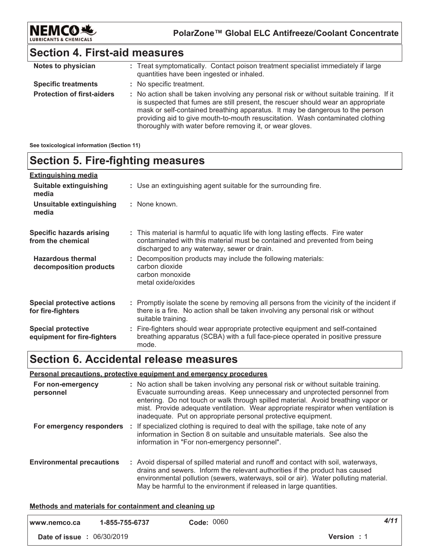

### **Section 4. First-aid measures**

| Notes to physician                | : Treat symptomatically. Contact poison treatment specialist immediately if large<br>quantities have been ingested or inhaled.                                                                                                                                                                                                                                                                                  |
|-----------------------------------|-----------------------------------------------------------------------------------------------------------------------------------------------------------------------------------------------------------------------------------------------------------------------------------------------------------------------------------------------------------------------------------------------------------------|
| <b>Specific treatments</b>        | : No specific treatment.                                                                                                                                                                                                                                                                                                                                                                                        |
| <b>Protection of first-aiders</b> | : No action shall be taken involving any personal risk or without suitable training. If it<br>is suspected that fumes are still present, the rescuer should wear an appropriate<br>mask or self-contained breathing apparatus. It may be dangerous to the person<br>providing aid to give mouth-to-mouth resuscitation. Wash contaminated clothing<br>thoroughly with water before removing it, or wear gloves. |

#### **See toxicological information (Section 11)**

### **Section 5. Fire-fighting measures**

| <b>Extinguishing media</b>                               |                                                                                                                                                                                                               |  |
|----------------------------------------------------------|---------------------------------------------------------------------------------------------------------------------------------------------------------------------------------------------------------------|--|
| Suitable extinguishing<br>media                          | : Use an extinguishing agent suitable for the surrounding fire.                                                                                                                                               |  |
| Unsuitable extinguishing<br>media                        | : None known.                                                                                                                                                                                                 |  |
| <b>Specific hazards arising</b><br>from the chemical     | : This material is harmful to aquatic life with long lasting effects. Fire water<br>contaminated with this material must be contained and prevented from being<br>discharged to any waterway, sewer or drain. |  |
| <b>Hazardous thermal</b><br>decomposition products       | Decomposition products may include the following materials:<br>carbon dioxide<br>carbon monoxide<br>metal oxide/oxides                                                                                        |  |
| <b>Special protective actions</b><br>for fire-fighters   | : Promptly isolate the scene by removing all persons from the vicinity of the incident if<br>there is a fire. No action shall be taken involving any personal risk or without<br>suitable training.           |  |
| <b>Special protective</b><br>equipment for fire-fighters | : Fire-fighters should wear appropriate protective equipment and self-contained<br>breathing apparatus (SCBA) with a full face-piece operated in positive pressure<br>mode.                                   |  |

### **Section 6. Accidental release measures**

#### **<u>Personal precautions, protective equipment and emergency procedures</u>**

| For non-emergency<br>personnel   | : No action shall be taken involving any personal risk or without suitable training.<br>Evacuate surrounding areas. Keep unnecessary and unprotected personnel from<br>entering. Do not touch or walk through spilled material. Avoid breathing vapor or<br>mist. Provide adequate ventilation. Wear appropriate respirator when ventilation is<br>inadequate. Put on appropriate personal protective equipment. |
|----------------------------------|------------------------------------------------------------------------------------------------------------------------------------------------------------------------------------------------------------------------------------------------------------------------------------------------------------------------------------------------------------------------------------------------------------------|
| For emergency responders         | : If specialized clothing is required to deal with the spillage, take note of any<br>information in Section 8 on suitable and unsuitable materials. See also the<br>information in "For non-emergency personnel".                                                                                                                                                                                                |
| <b>Environmental precautions</b> | : Avoid dispersal of spilled material and runoff and contact with soil, waterways,<br>drains and sewers. Inform the relevant authorities if the product has caused<br>environmental pollution (sewers, waterways, soil or air). Water polluting material.<br>May be harmful to the environment if released in large quantities.                                                                                  |

#### <u>**Methods and materials for containment and cleaning up**</u>

| www.nemco.ca                      | 1-855-755-6737 | <b>Code: 0060</b> |                    | 4/11 |
|-----------------------------------|----------------|-------------------|--------------------|------|
| <b>Date of issue : 06/30/2019</b> |                |                   | <b>Version</b> : 1 |      |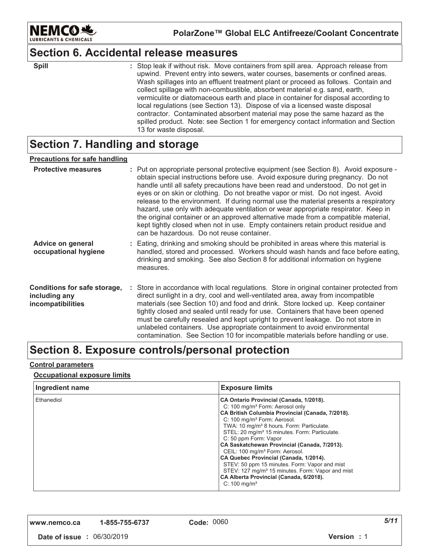

### **Section 6. Accidental release measures**

| <b>Spill</b> |  |
|--------------|--|
|              |  |

: Stop leak if without risk. Move containers from spill area. Approach release from upwind. Prevent entry into sewers, water courses, basements or confined areas. Wash spillages into an effluent treatment plant or proceed as follows. Contain and collect spillage with non-combustible, absorbent material e.g. sand, earth, vermiculite or diatomaceous earth and place in container for disposal according to local regulations (see Section 13). Dispose of via a licensed waste disposal contractor. Contaminated absorbent material may pose the same hazard as the spilled product. Note: see Section 1 for emergency contact information and Section 13 for waste disposal.

### **Section 7. Handling and storage**

#### <u>Precautions for safe handling</u>

| <b>Protective measures</b>                                         | : Put on appropriate personal protective equipment (see Section 8). Avoid exposure -<br>obtain special instructions before use. Avoid exposure during pregnancy. Do not<br>handle until all safety precautions have been read and understood. Do not get in<br>eyes or on skin or clothing. Do not breathe vapor or mist. Do not ingest. Avoid<br>release to the environment. If during normal use the material presents a respiratory<br>hazard, use only with adequate ventilation or wear appropriate respirator. Keep in<br>the original container or an approved alternative made from a compatible material,<br>kept tightly closed when not in use. Empty containers retain product residue and<br>can be hazardous. Do not reuse container. |
|--------------------------------------------------------------------|-----------------------------------------------------------------------------------------------------------------------------------------------------------------------------------------------------------------------------------------------------------------------------------------------------------------------------------------------------------------------------------------------------------------------------------------------------------------------------------------------------------------------------------------------------------------------------------------------------------------------------------------------------------------------------------------------------------------------------------------------------|
| <b>Advice on general</b><br>occupational hygiene                   | : Eating, drinking and smoking should be prohibited in areas where this material is<br>handled, stored and processed. Workers should wash hands and face before eating,<br>drinking and smoking. See also Section 8 for additional information on hygiene<br>measures.                                                                                                                                                                                                                                                                                                                                                                                                                                                                              |
| Conditions for safe storage,<br>including any<br>incompatibilities | : Store in accordance with local regulations. Store in original container protected from<br>direct sunlight in a dry, cool and well-ventilated area, away from incompatible<br>materials (see Section 10) and food and drink. Store locked up. Keep container<br>tightly closed and sealed until ready for use. Containers that have been opened<br>must be carefully resealed and kept upright to prevent leakage. Do not store in<br>unlabeled containers. Use appropriate containment to avoid environmental<br>contamination. See Section 10 for incompatible materials before handling or use.                                                                                                                                                 |

### Section 8. Exposure controls/personal protection

#### <u>Control parameters</u>

#### <u>**<u>Occupational exposure limits</u>**</u>

| Ingredient name | <b>Exposure limits</b>                                                                                                                                                                                                                                                                                                                                                                                                                                                                                                                                                                                                                                                 |
|-----------------|------------------------------------------------------------------------------------------------------------------------------------------------------------------------------------------------------------------------------------------------------------------------------------------------------------------------------------------------------------------------------------------------------------------------------------------------------------------------------------------------------------------------------------------------------------------------------------------------------------------------------------------------------------------------|
| Ethanediol      | CA Ontario Provincial (Canada, 1/2018).<br>C: 100 mg/m <sup>3</sup> Form: Aerosol only<br>CA British Columbia Provincial (Canada, 7/2018).<br>C: 100 mg/m <sup>3</sup> Form: Aerosol.<br>TWA: 10 mg/m <sup>3</sup> 8 hours. Form: Particulate.<br>STEL: 20 mg/m <sup>3</sup> 15 minutes. Form: Particulate.<br>C: 50 ppm Form: Vapor<br>CA Saskatchewan Provincial (Canada, 7/2013).<br>CEIL: 100 mg/m <sup>3</sup> Form: Aerosol.<br>CA Quebec Provincial (Canada, 1/2014).<br>STEV: 50 ppm 15 minutes. Form: Vapor and mist<br>STEV: 127 mg/m <sup>3</sup> 15 minutes. Form: Vapor and mist<br>CA Alberta Provincial (Canada, 6/2018).<br>$C: 100$ mg/m <sup>3</sup> |

**,,," "123242 -**

*-*

 **#** 01"/0"\$0'2 **5 #** '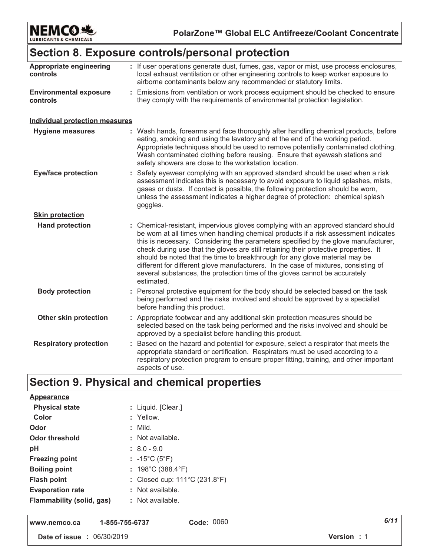

PolarZone™ Global ELC Antifreeze/Coolant Concentrate

### Section 8. Exposure controls/personal protection

| Appropriate engineering<br>controls       | : If user operations generate dust, fumes, gas, vapor or mist, use process enclosures,<br>local exhaust ventilation or other engineering controls to keep worker exposure to<br>airborne contaminants below any recommended or statutory limits.                                                                                                                                                                                                                                                                                                                                                                          |  |  |
|-------------------------------------------|---------------------------------------------------------------------------------------------------------------------------------------------------------------------------------------------------------------------------------------------------------------------------------------------------------------------------------------------------------------------------------------------------------------------------------------------------------------------------------------------------------------------------------------------------------------------------------------------------------------------------|--|--|
| <b>Environmental exposure</b><br>controls | : Emissions from ventilation or work process equipment should be checked to ensure<br>they comply with the requirements of environmental protection legislation.                                                                                                                                                                                                                                                                                                                                                                                                                                                          |  |  |
| <b>Individual protection measures</b>     |                                                                                                                                                                                                                                                                                                                                                                                                                                                                                                                                                                                                                           |  |  |
| <b>Hygiene measures</b>                   | : Wash hands, forearms and face thoroughly after handling chemical products, before<br>eating, smoking and using the lavatory and at the end of the working period.<br>Appropriate techniques should be used to remove potentially contaminated clothing.<br>Wash contaminated clothing before reusing. Ensure that eyewash stations and<br>safety showers are close to the workstation location.                                                                                                                                                                                                                         |  |  |
| <b>Eye/face protection</b>                | : Safety eyewear complying with an approved standard should be used when a risk<br>assessment indicates this is necessary to avoid exposure to liquid splashes, mists,<br>gases or dusts. If contact is possible, the following protection should be worn,<br>unless the assessment indicates a higher degree of protection: chemical splash<br>goggles.                                                                                                                                                                                                                                                                  |  |  |
| <b>Skin protection</b>                    |                                                                                                                                                                                                                                                                                                                                                                                                                                                                                                                                                                                                                           |  |  |
| <b>Hand protection</b>                    | : Chemical-resistant, impervious gloves complying with an approved standard should<br>be worn at all times when handling chemical products if a risk assessment indicates<br>this is necessary. Considering the parameters specified by the glove manufacturer,<br>check during use that the gloves are still retaining their protective properties. It<br>should be noted that the time to breakthrough for any glove material may be<br>different for different glove manufacturers. In the case of mixtures, consisting of<br>several substances, the protection time of the gloves cannot be accurately<br>estimated. |  |  |
| <b>Body protection</b>                    | : Personal protective equipment for the body should be selected based on the task<br>being performed and the risks involved and should be approved by a specialist<br>before handling this product.                                                                                                                                                                                                                                                                                                                                                                                                                       |  |  |
| Other skin protection                     | : Appropriate footwear and any additional skin protection measures should be<br>selected based on the task being performed and the risks involved and should be<br>approved by a specialist before handling this product.                                                                                                                                                                                                                                                                                                                                                                                                 |  |  |
| <b>Respiratory protection</b>             | : Based on the hazard and potential for exposure, select a respirator that meets the<br>appropriate standard or certification. Respirators must be used according to a<br>respiratory protection program to ensure proper fitting, training, and other important<br>aspects of use.                                                                                                                                                                                                                                                                                                                                       |  |  |

## Section 9. Physical and chemical properties

| <b>Appearance</b>                |                                         |
|----------------------------------|-----------------------------------------|
| <b>Physical state</b>            | : Liquid. [Clear.]                      |
| Color                            | : Yellow.                               |
| Odor                             | $:$ Mild.                               |
| Odor threshold                   | : Not available.                        |
| pH                               | $\therefore$ 8.0 - 9.0                  |
| <b>Freezing point</b>            | : $-15^{\circ}$ C (5 $^{\circ}$ F)      |
| <b>Boiling point</b>             | : $198^{\circ}$ C (388.4 $^{\circ}$ F)  |
| <b>Flash point</b>               | : Closed cup: $111^{\circ}$ C (231.8°F) |
| <b>Evaporation rate</b>          | : Not available.                        |
| <b>Flammability (solid, gas)</b> | : Not available.                        |
|                                  |                                         |

Code: 0060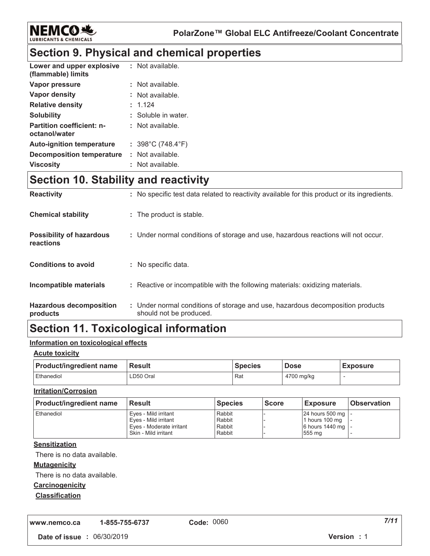

### **Section 9. Physical and chemical properties**

| Lower and upper explosive<br>(flammable) limits   | : Not available.                       |
|---------------------------------------------------|----------------------------------------|
| Vapor pressure                                    | : Not available.                       |
| Vapor density                                     | : Not available.                       |
| <b>Relative density</b>                           | : 1.124                                |
| <b>Solubility</b>                                 | : Soluble in water.                    |
| <b>Partition coefficient: n-</b><br>octanol/water | : Not available.                       |
| <b>Auto-ignition temperature</b>                  | : $398^{\circ}$ C (748.4 $^{\circ}$ F) |
| Decomposition temperature                         | : Not available.                       |
| <b>Viscosity</b>                                  | : Not available.                       |

### **Section 10. Stability and reactivity**

| <b>Reactivity</b>                            | : No specific test data related to reactivity available for this product or its ingredients.              |
|----------------------------------------------|-----------------------------------------------------------------------------------------------------------|
| <b>Chemical stability</b>                    | : The product is stable.                                                                                  |
| <b>Possibility of hazardous</b><br>reactions | : Under normal conditions of storage and use, hazardous reactions will not occur.                         |
| <b>Conditions to avoid</b>                   | : No specific data.                                                                                       |
| Incompatible materials                       | : Reactive or incompatible with the following materials: oxidizing materials.                             |
| <b>Hazardous decomposition</b><br>products   | : Under normal conditions of storage and use, hazardous decomposition products<br>should not be produced. |

### **Section 11. Toxicological information**

#### <u>Information on toxicological effects</u>

#### <u>Acute toxicity</u>

| <b>Product/ingredient name</b> | <b>Result</b> | <b>Species</b> | <b>Dose</b> | <b>Exposure</b> |
|--------------------------------|---------------|----------------|-------------|-----------------|
| Ethanediol                     | ∟D50 Oral     | Rat            | 4700 mg/kg  |                 |

#### <u>**Irritation/Corrosion</u>**</u>

| <b>Product/ingredient name</b> | <b>Result</b>            | <b>Species</b> | <b>Score</b> | <b>Exposure</b>     | <b>Observation</b> |
|--------------------------------|--------------------------|----------------|--------------|---------------------|--------------------|
| Ethanediol                     | Eves - Mild irritant     | Rabbit         |              | 24 hours 500 mg   - |                    |
|                                | Eves - Mild irritant     | Rabbit         |              | 1 hours 100 mg      |                    |
|                                | Eves - Moderate irritant | Rabbit         |              | 6 hours 1440 mg   - |                    |
|                                | Skin - Mild irritant     | Rabbit         |              | 555 mg              |                    |

#### <u>Sensitization</u>

There is no data available.

#### <u>**Mutagenicity</u>**</u>

There is no data available.

#### **Carcinogenicity**

#### <u>Classification</u>

**,,," "123242 -**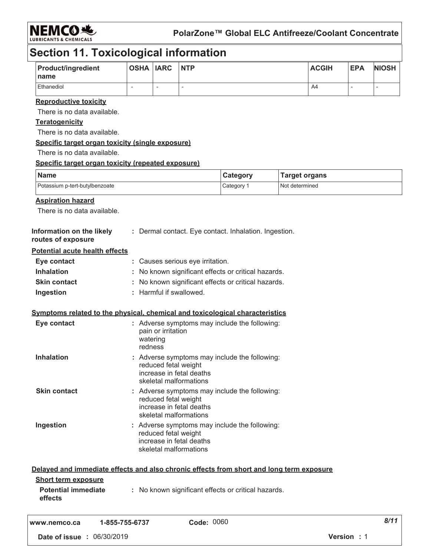

### **Section 11. Toxicological information**

| <b>Product/ingredient</b><br>name | <b>OSHA IARC</b> | <b>NTP</b> | <b>ACGIH</b> | <b>EPA</b> | <b>NIOSH</b> |
|-----------------------------------|------------------|------------|--------------|------------|--------------|
| Ethanediol                        |                  |            | A4           |            |              |

#### <u>**Reproductive toxicity</u>**</u>

There is no data available.

#### <u>Teratogenicity</u>

There is no data available.

#### <u>**<u>Specific target organ toxicity (single exposure)</u>**</u>

There is no data available.

#### <u>**<u>Specific target organ toxicity (repeated exposure)</u>**</u>

| Name                           | Category | <b>Target organs</b> |
|--------------------------------|----------|----------------------|
| Potassium p-tert-butylbenzoate | Category | Not determined       |

#### <u>Aspiration hazard</u>

There is no data available.

| Information on the likely<br>routes of exposure | : Dermal contact. Eye contact. Inhalation. Ingestion. |
|-------------------------------------------------|-------------------------------------------------------|
| <b>Potential acute health effects</b>           |                                                       |
| Eye contact                                     | : Causes serious eye irritation.                      |
| <b>Inhalation</b>                               | : No known significant effects or critical hazards.   |
| <b>Skin contact</b>                             | : No known significant effects or critical hazards.   |
| Ingestion                                       | : Harmful if swallowed.                               |

#### <u>**<u>Symptoms related to the physical, chemical and toxicological characteristics</u>**</u>

| Eye contact         | : Adverse symptoms may include the following:<br>pain or irritation<br>watering<br>redness                                  |
|---------------------|-----------------------------------------------------------------------------------------------------------------------------|
| <b>Inhalation</b>   | : Adverse symptoms may include the following:<br>reduced fetal weight<br>increase in fetal deaths<br>skeletal malformations |
| <b>Skin contact</b> | : Adverse symptoms may include the following:<br>reduced fetal weight<br>increase in fetal deaths<br>skeletal malformations |
| Ingestion           | : Adverse symptoms may include the following:<br>reduced fetal weight<br>increase in fetal deaths<br>skeletal malformations |

|                                       |                        | Delayed and immediate effects and also chronic effects from short and long term exposure |  |
|---------------------------------------|------------------------|------------------------------------------------------------------------------------------|--|
| <b>Short term exposure</b>            |                        |                                                                                          |  |
| <b>Potential immediate</b><br>effects |                        | : No known significant effects or critical hazards.                                      |  |
| www.nomeo.co                          | $1 - 955 - 755 - 6727$ | Cada: 0060                                                                               |  |

w.nemco.ca 1-855-755-6737 **#**  *--*  **#** 01"/0"\$0'2 **5 #** ' Code: UU0U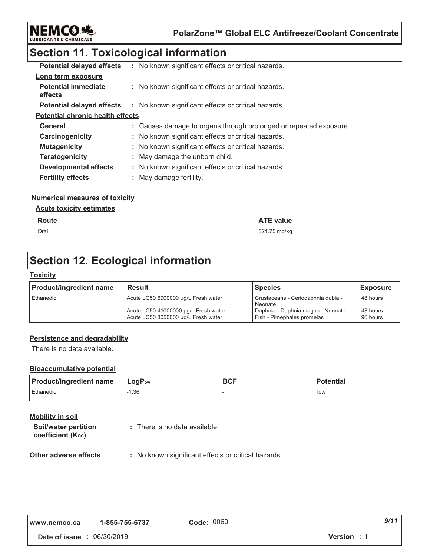

**PolarZone™ Global ELC Antifreeze/Coolant Concentrate**

### **Section 11. Toxicological information**

| <b>Potential delayed effects</b>        | : No known significant effects or critical hazards.               |
|-----------------------------------------|-------------------------------------------------------------------|
| Long term exposure                      |                                                                   |
| <b>Potential immediate</b><br>effects   | : No known significant effects or critical hazards.               |
| <b>Potential delayed effects</b>        | : No known significant effects or critical hazards.               |
| <b>Potential chronic health effects</b> |                                                                   |
| General                                 | : Causes damage to organs through prolonged or repeated exposure. |
| Carcinogenicity                         | : No known significant effects or critical hazards.               |
| <b>Mutagenicity</b>                     | : No known significant effects or critical hazards.               |
| <b>Teratogenicity</b>                   | : May damage the unborn child.                                    |
| <b>Developmental effects</b>            | : No known significant effects or critical hazards.               |
| <b>Fertility effects</b>                | : May damage fertility.                                           |

#### <u>Numerical measures of toxicity</u>

#### <u>**<u>Acute toxicity estimates</u>**</u>

| <b>Route</b> | <b>ATE value</b> |
|--------------|------------------|
| Oral         | 521.75 mg/kg     |

### **Section 12. Ecological information**

#### <u> Toxicity</u>

| <b>Product/ingredient name</b> | <b>Result</b>                                                               | <b>Species</b>                                                  | <b>Exposure</b>      |
|--------------------------------|-----------------------------------------------------------------------------|-----------------------------------------------------------------|----------------------|
| Ethanediol                     | Acute LC50 6900000 µg/L Fresh water                                         | Crustaceans - Ceriodaphnia dubia -<br>Neonate                   | 48 hours             |
|                                | Acute LC50 41000000 µg/L Fresh water<br>Acute LC50 8050000 µg/L Fresh water | Daphnia - Daphnia magna - Neonate<br>Fish - Pimephales promelas | 48 hours<br>96 hours |

#### **Persistence and degradability**

There is no data available.

#### **Bioaccumulative potential**

| <b>Product/ingredient name</b> | $ $ LogP <sub>ow</sub> | <b>BCF</b> | <b>Potential</b> |
|--------------------------------|------------------------|------------|------------------|
| Ethanediol                     | $-1.36$                |            | low              |

### <u>Mobility in soil</u>

| Soil/water partition   | : There is no data available. |
|------------------------|-------------------------------|
| coefficient $(K_{oc})$ |                               |

#### **Other adverse effect**  $\colon$  No known significant effects or critical hazards.

| www.nemco.ca | 1-855-755-6737 | C |
|--------------|----------------|---|
|--------------|----------------|---|

*-*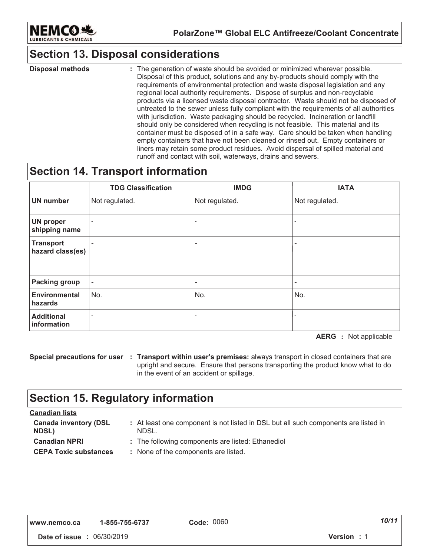

### **Section 13. Disposal considerations**

: The generation of waste should be avoided or minimized wherever possible. Disposal of this product, solutions and any by-products should comply with the requirements of environmental protection and waste disposal legislation and any regional local authority requirements. Dispose of surplus and non-recyclable products via a licensed waste disposal contractor. Waste should not be disposed of untreated to the sewer unless fully compliant with the requirements of all authorities with jurisdiction. Waste packaging should be recycled. Incineration or landfill should only be considered when recycling is not feasible. This material and its container must be disposed of in a safe way. Care should be taken when handling empty containers that have not been cleaned or rinsed out. Empty containers or liners may retain some product residues. Avoid dispersal of spilled material and runoff and contact with soil, waterways, drains and sewers. **Disposal methods :**  $\qquad \qquad :$ 

### **Section 14. Transport information**

|                                      | <b>TDG Classification</b> | <b>IMDG</b>    | <b>IATA</b>              |
|--------------------------------------|---------------------------|----------------|--------------------------|
| <b>UN number</b>                     | Not regulated.            | Not regulated. | Not regulated.           |
| <b>UN proper</b><br>shipping name    |                           | $\blacksquare$ | $\overline{\phantom{a}}$ |
| <b>Transport</b><br>hazard class(es) |                           | ۰              | ۰                        |
| <b>Packing group</b>                 | $\sim$                    | $\sim$         | $\sim$                   |
| <b>Environmental</b><br>hazards      | No.                       | No.            | No.                      |
| <b>Additional</b><br>information     |                           | $\blacksquare$ |                          |

**AERG** : Not applicable

**Special precautions for user : Transport within user's premises: always transport in closed containers that are** upright and secure. Ensure that persons transporting the product know what to do in the event of an accident or spillage.

### **Section 15. Regulatory information**

| <u>Canadian lists</u>                        |                                                                                              |
|----------------------------------------------|----------------------------------------------------------------------------------------------|
| <b>Canada inventory (DSL</b><br><b>NDSL)</b> | : At least one component is not listed in DSL but all such components are listed in<br>NDSL. |
| <b>Canadian NPRI</b>                         | : The following components are listed: Ethanediol                                            |
| <b>CEPA Toxic substances</b>                 | : None of the components are listed.                                                         |